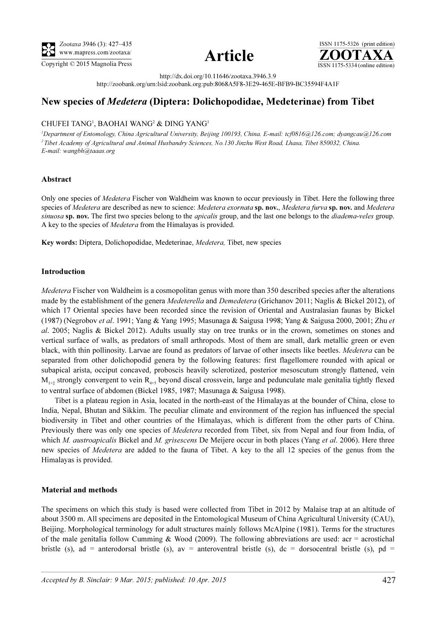



ISSN 1175-5326 (print edition)<br> $\overline{{\bf ZOOTAXA}}$ Copyright © 2015 Magnolia Press ISSN 1175-5334 (online edition)

http://dx.doi.org/10.11646/zootaxa.3946.3.9

http://zoobank.org/urn:lsid:zoobank.org:pub:8068A5F8-3E29-465E-BFB9-BC35594F4A1F

# New species of Medetera (Diptera: Dolichopodidae, Medeterinae) from Tibet

## CHUFEI TANG<sup>1</sup>, BAOHAI WANG<sup>2</sup> & DING YANG<sup>1</sup>

<sup>1</sup>Department of Entomology, China Agricultural University, Beijing 100193, China. E-mail: tcf0816@126.com; dyangcau@126.com <sup>2</sup>Tibet Academy of Agricultural and Animal Husbandry Sciences, No.130 Jinzhu West Road, Lhasa, Tibet 850032, China. E-mail: wangbh@taaas.org

## Abstract

Only one species of Medetera Fischer von Waldheim was known to occur previously in Tibet. Here the following three species of Medetera are described as new to science: Medetera exornata sp. nov., Medetera furva sp. nov. and Medetera sinuosa sp. nov. The first two species belong to the *apicalis* group, and the last one belongs to the *diadema-veles* group. A key to the species of Medetera from the Himalayas is provided.

Key words: Diptera, Dolichopodidae, Medeterinae, Medetera, Tibet, new species

### Introduction

Medetera Fischer von Waldheim is a cosmopolitan genus with more than 350 described species after the alterations made by the establishment of the genera Medeterella and Demedetera (Grichanov 2011; Naglis & Bickel 2012), of which 17 Oriental species have been recorded since the revision of Oriental and Australasian faunas by Bickel (1987) (Negrobov et al. 1991; Yang & Yang 1995; Masunaga & Saigusa 1998; Yang & Saigusa 2000, 2001; Zhu et al. 2005; Naglis & Bickel 2012). Adults usually stay on tree trunks or in the crown, sometimes on stones and vertical surface of walls, as predators of small arthropods. Most of them are small, dark metallic green or even black, with thin pollinosity. Larvae are found as predators of larvae of other insects like beetles. Medetera can be separated from other dolichopodid genera by the following features: first flagellomere rounded with apical or subapical arista, occiput concaved, proboscis heavily sclerotized, posterior mesoscutum strongly flattened, vein  $M_{1+2}$  strongly convergent to vein  $R_{4+5}$  beyond discal crossvein, large and pedunculate male genitalia tightly flexed to ventral surface of abdomen (Bickel 1985, 1987; Masunaga & Saigusa 1998).

Tibet is a plateau region in Asia, located in the north-east of the Himalayas at the bounder of China, close to India, Nepal, Bhutan and Sikkim. The peculiar climate and environment of the region has influenced the special biodiversity in Tibet and other countries of the Himalayas, which is different from the other parts of China. Previously there was only one species of *Medetera* recorded from Tibet, six from Nepal and four from India, of which M. austroapicalis Bickel and M. grisescens De Meijere occur in both places (Yang et al. 2006). Here three new species of *Medetera* are added to the fauna of Tibet. A key to the all 12 species of the genus from the Himalayas is provided.

## Material and methods

The specimens on which this study is based were collected from Tibet in 2012 by Malaise trap at an altitude of about 3500 m. All specimens are deposited in the Entomological Museum of China Agricultural University (CAU), Beijing. Morphological terminology for adult structures mainly follows McAlpine (1981). Terms for the structures of the male genitalia follow Cumming & Wood (2009). The following abbreviations are used:  $\arctan x = \arctan x$ bristle (s), ad = anterodorsal bristle (s), av = anteroventral bristle (s), dc = dorsocentral bristle (s), pd =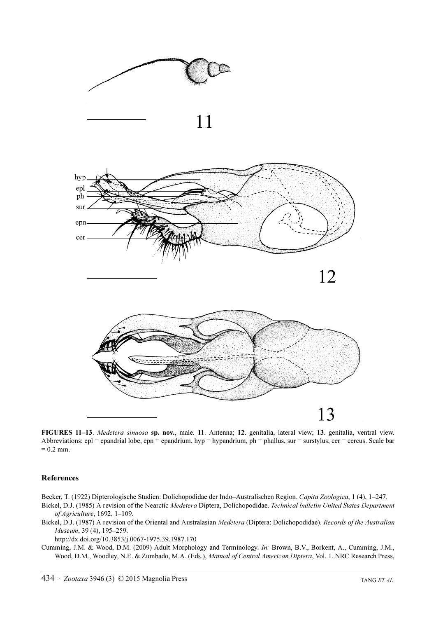

FIGURES 11–13. Medetera sinuosa sp. nov., male. 11. Antenna; 12. genitalia, lateral view; 13. genitalia, ventral view. Abbreviations: epl = epandrial lobe, epn = epandrium, hyp = hypandrium, ph = phallus, sur = surstylus, cer = cercus. Scale bar  $= 0.2$  mm.

#### References

Becker, T. (1922) Dipterologische Studien: Dolichopodidae der Indo–Australischen Region. Capita Zoologica, 1 (4), 1–247.

- Bickel, D.J. (1985) A revision of the Nearctic Medetera Diptera, Dolichopodidae. Technical bulletin United States Department of Agriculture, 1692, 1–109.
- Bickel, D.J. (1987) A revision of the Oriental and Australasian Medetera (Diptera: Dolichopodidae). Records of the Australian Museum, 39 (4), 195–259.

http://dx.doi.org/10.3853/j.0067-1975.39.1987.170

Cumming, J.M. & Wood, D.M. (2009) Adult Morphology and Terminology. In: Brown, B.V., Borkent, A., Cumming, J.M., Wood, D.M., Woodley, N.E. & Zumbado, M.A. (Eds.), Manual of Central American Diptera, Vol. 1. NRC Research Press,